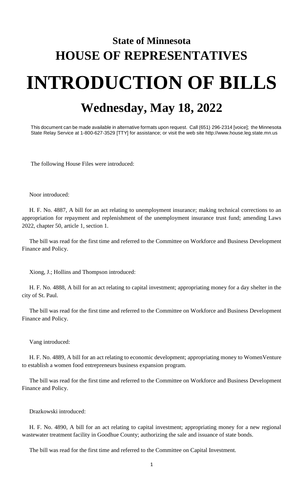## **State of Minnesota HOUSE OF REPRESENTATIVES INTRODUCTION OF BILLS Wednesday, May 18, 2022**

This document can be made available in alternative formats upon request. Call (651) 296-2314 [voice]; the Minnesota State Relay Service at 1-800-627-3529 [TTY] for assistance; or visit the web site http://www.house.leg.state.mn.us

The following House Files were introduced:

Noor introduced:

H. F. No. 4887, A bill for an act relating to unemployment insurance; making technical corrections to an appropriation for repayment and replenishment of the unemployment insurance trust fund; amending Laws 2022, chapter 50, article 1, section 1.

The bill was read for the first time and referred to the Committee on Workforce and Business Development Finance and Policy.

Xiong, J.; Hollins and Thompson introduced:

H. F. No. 4888, A bill for an act relating to capital investment; appropriating money for a day shelter in the city of St. Paul.

The bill was read for the first time and referred to the Committee on Workforce and Business Development Finance and Policy.

Vang introduced:

H. F. No. 4889, A bill for an act relating to economic development; appropriating money to WomenVenture to establish a women food entrepreneurs business expansion program.

The bill was read for the first time and referred to the Committee on Workforce and Business Development Finance and Policy.

Drazkowski introduced:

H. F. No. 4890, A bill for an act relating to capital investment; appropriating money for a new regional wastewater treatment facility in Goodhue County; authorizing the sale and issuance of state bonds.

The bill was read for the first time and referred to the Committee on Capital Investment.